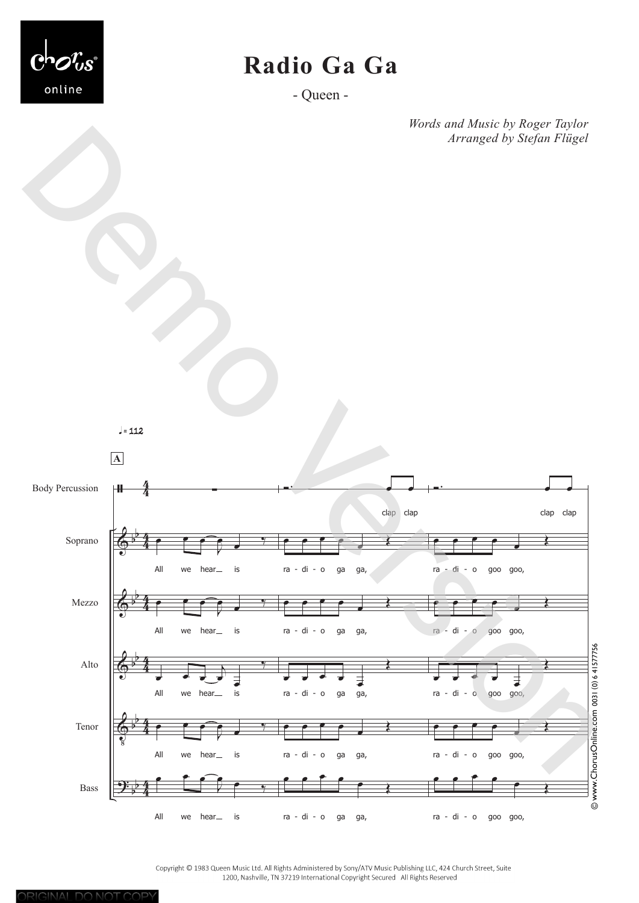

## **Radio Ga Ga**

- Queen -

*Words and Music by Roger Taylor Arranged by Stefan Flügel*



Copyright © 1983 Queen Music Ltd. All Rights Administered by Sony/ATV Music Publishing LLC, 424 Church Street, Suite 1200, Nashville, TN 37219 International Copyright Secured All Rights Reserved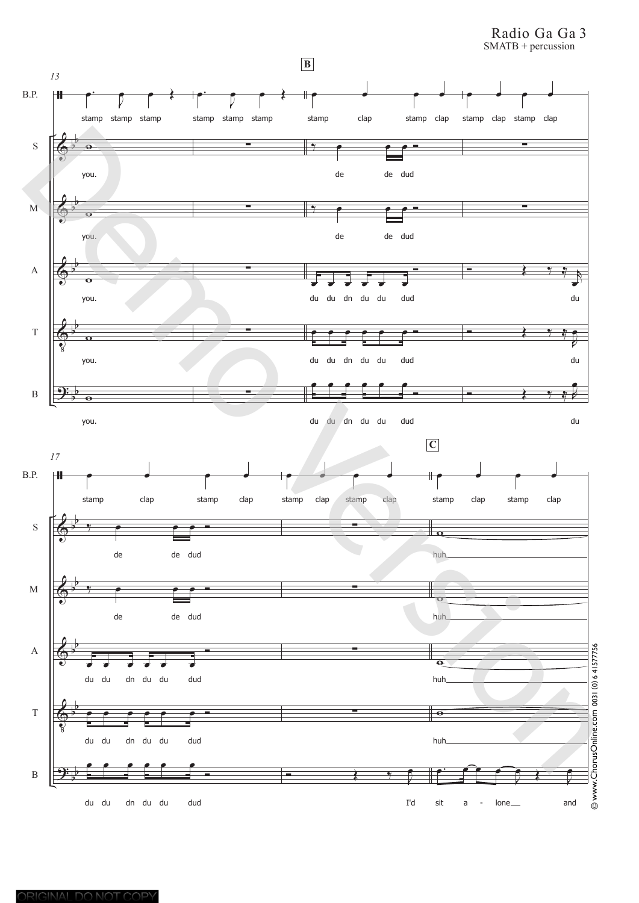Radio Ga Ga 3 SMATB + percussion

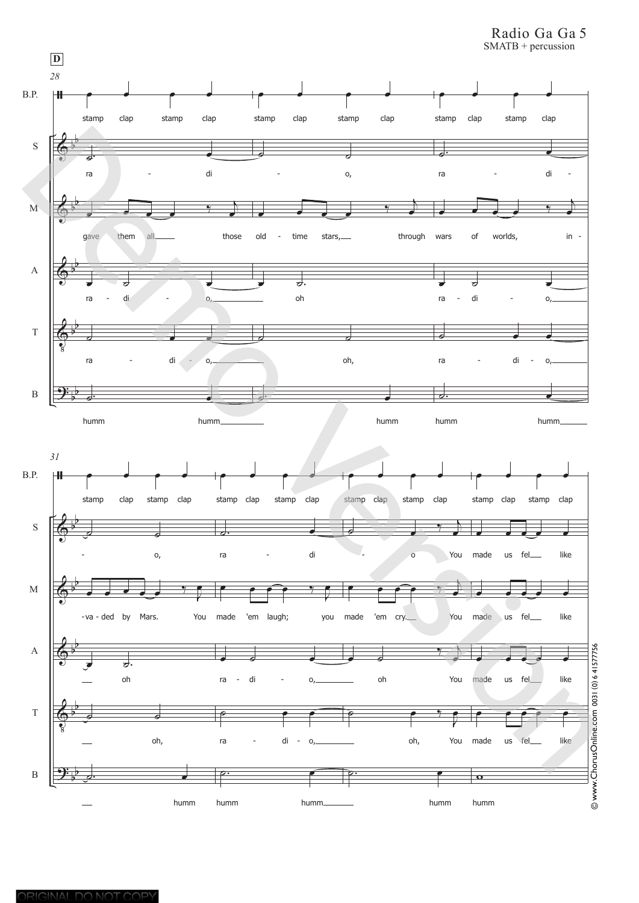Radio Ga Ga 5 SMATB + percussion

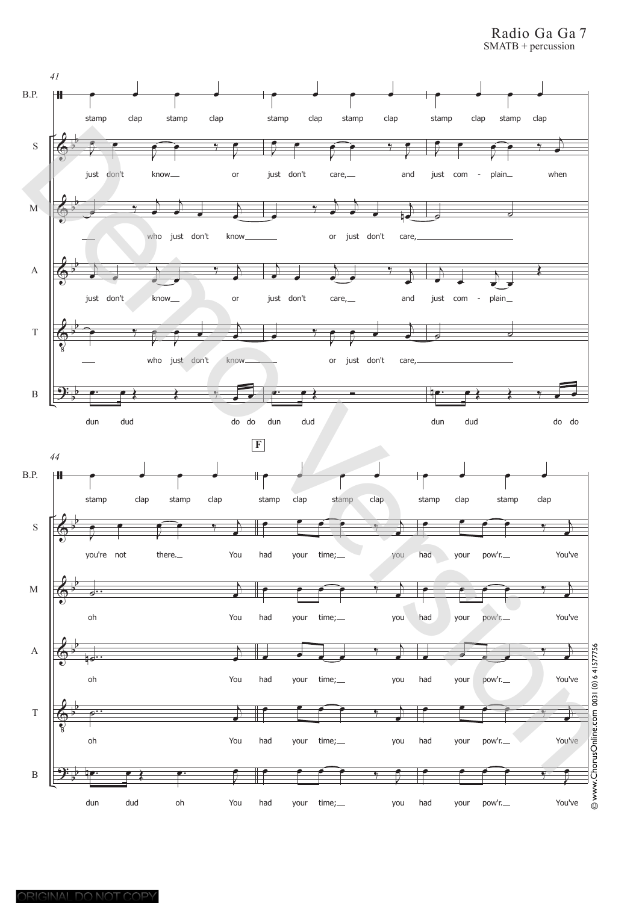Radio Ga Ga 7 SMATB + percussion

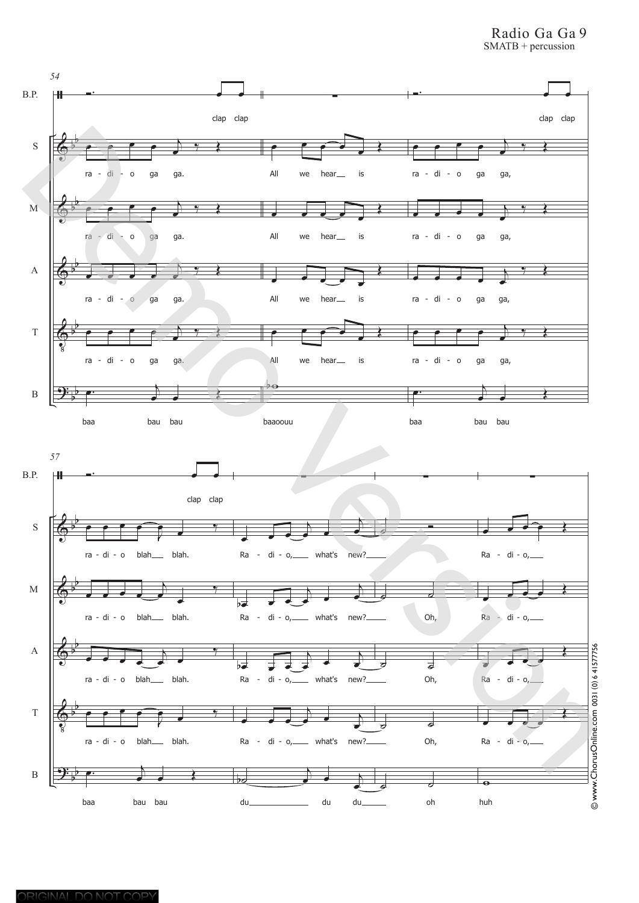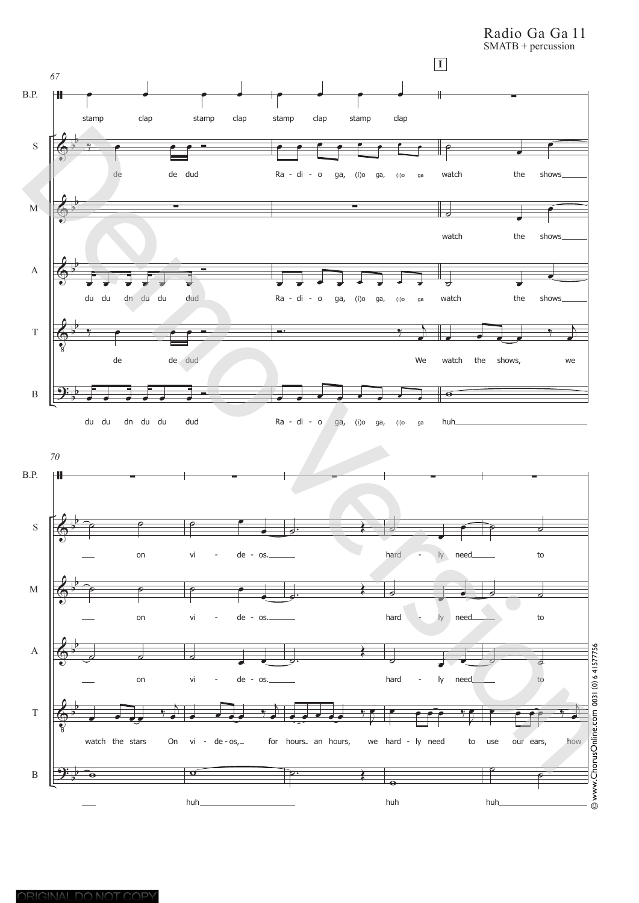Radio Ga Ga 11

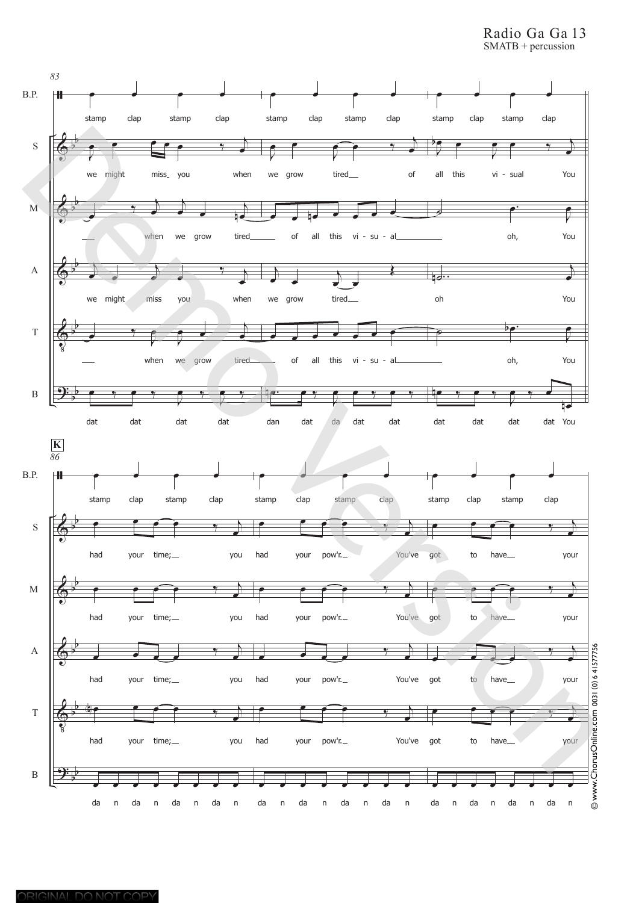Radio Ga Ga 13 SMATB + percussion